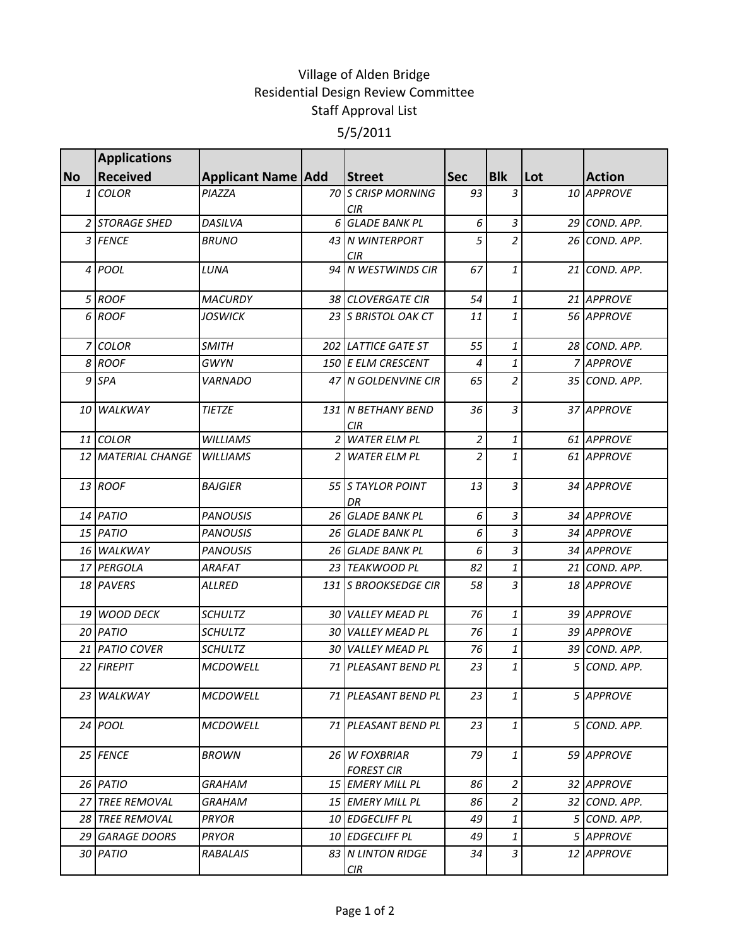## Village of Alden Bridge Residential Design Review Committee Staff Approval List 5/5/2011

|           | <b>Applications</b>       |                           |                                    |                |                           |     |               |
|-----------|---------------------------|---------------------------|------------------------------------|----------------|---------------------------|-----|---------------|
| <b>No</b> | <b>Received</b>           | <b>Applicant Name Add</b> | <b>Street</b>                      | <b>Sec</b>     | <b>Blk</b>                | Lot | <b>Action</b> |
|           | 1 COLOR                   | PIAZZA                    | 70 S CRISP MORNING<br>CIR.         | 93             | 3                         |     | 10 APPROVE    |
|           | 2 STORAGE SHED            | DASILVA                   | 6 GLADE BANK PL                    | 6              | 3                         |     | 29 COND. APP. |
|           | 3 FENCE                   | <b>BRUNO</b>              | 43 IN WINTERPORT<br><b>CIR</b>     | 5              | $\overline{c}$            |     | 26 COND. APP. |
|           | 4 POOL                    | LUNA                      | 94 N WESTWINDS CIR                 | 67             | 1                         |     | 21 COND. APP. |
|           | 5 ROOF                    | <b>MACURDY</b>            | 38 CLOVERGATE CIR                  | 54             | $\mathbf{1}$              |     | 21 APPROVE    |
|           | 6 ROOF                    | JOSWICK                   | 23 S BRISTOL OAK CT                | 11             | $\mathbf{1}$              |     | 56 APPROVE    |
|           | 7 COLOR                   | <b>SMITH</b>              | 202 LATTICE GATE ST                | 55             | $\mathbf{1}$              |     | 28 COND. APP. |
|           | 8 ROOF                    | <b>GWYN</b>               | 150 E ELM CRESCENT                 | $\overline{4}$ | $\mathbf{1}$              |     | 7 APPROVE     |
|           | 9 SPA                     | <b>VARNADO</b>            | 47 N GOLDENVINE CIR                | 65             | $\overline{c}$            |     | 35 COND. APP. |
|           | 10 WALKWAY                | <b>TIETZE</b>             | 131 N BETHANY BEND<br><b>CIR</b>   | 36             | $\overline{3}$            |     | 37 APPROVE    |
|           | 11 COLOR                  | <b>WILLIAMS</b>           | 2 WATER ELM PL                     | $\overline{2}$ | $\ensuremath{\mathbf{1}}$ |     | 61 APPROVE    |
|           | <b>12 MATERIAL CHANGE</b> | <b>WILLIAMS</b>           | 2 WATER ELM PL                     | $\overline{a}$ | $\mathbf{1}$              |     | 61 APPROVE    |
|           | 13 ROOF                   | <b>BAJGIER</b>            | 55 S TAYLOR POINT<br>DR            | 13             | $\overline{3}$            |     | 34 APPROVE    |
|           | 14 PATIO                  | <b>PANOUSIS</b>           | 26 GLADE BANK PL                   | 6              | $\overline{3}$            |     | 34 APPROVE    |
|           | 15 PATIO                  | <b>PANOUSIS</b>           | 26 GLADE BANK PL                   | 6              | 3                         |     | 34 APPROVE    |
|           | 16 WALKWAY                | <b>PANOUSIS</b>           | 26 GLADE BANK PL                   | 6              | $\overline{3}$            |     | 34 APPROVE    |
|           | 17 PERGOLA                | <b>ARAFAT</b>             | 23 TEAKWOOD PL                     | 82             | $\mathbf{1}$              |     | 21 COND. APP. |
|           | 18 PAVERS                 | <b>ALLRED</b>             | 131 S BROOKSEDGE CIR               | 58             | 3                         |     | 18 APPROVE    |
|           | 19 WOOD DECK              | <b>SCHULTZ</b>            | <b>30 VALLEY MEAD PL</b>           | 76             | $\mathbf{1}$              |     | 39 APPROVE    |
|           | 20 PATIO                  | <b>SCHULTZ</b>            | 30 VALLEY MEAD PL                  | 76             | $\mathbf{1}$              |     | 39 APPROVE    |
|           | 21 PATIO COVER            | <b>SCHULTZ</b>            | 30 VALLEY MEAD PL                  | 76             | 1                         |     | 39 COND. APP. |
|           | 22 FIREPIT                | <b>MCDOWELL</b>           | 71 PLEASANT BEND PL                | 23             | $\mathbf{1}$              |     | 5 COND. APP.  |
|           | 23 WALKWAY                | <b>MCDOWELL</b>           | 71 PLEASANT BEND PL                | 23             | 1                         |     | 5 APPROVE     |
|           | $24$ POOL                 | <b>MCDOWELL</b>           | 71 PLEASANT BEND PL                | 23             | $\mathbf{1}$              |     | 5 COND. APP.  |
|           | 25 FENCE                  | <b>BROWN</b>              | 26 W FOXBRIAR<br><b>FOREST CIR</b> | 79             | $\mathbf{1}$              |     | 59 APPROVE    |
|           | 26 PATIO                  | GRAHAM                    | 15 EMERY MILL PL                   | 86             | $\overline{a}$            |     | 32 APPROVE    |
|           | 27 TREE REMOVAL           | GRAHAM                    | 15 EMERY MILL PL                   | 86             | $\overline{a}$            |     | 32 COND. APP. |
|           | <b>28 TREE REMOVAL</b>    | <b>PRYOR</b>              | 10 EDGECLIFF PL                    | 49             | $\mathbf{1}$              |     | 5 COND. APP.  |
|           | 29 GARAGE DOORS           | PRYOR                     | 10 EDGECLIFF PL                    | 49             | 1                         |     | 5 APPROVE     |
|           | 30 PATIO                  | RABALAIS                  | 83 N LINTON RIDGE<br>CIR           | 34             | $\overline{3}$            |     | 12 APPROVE    |